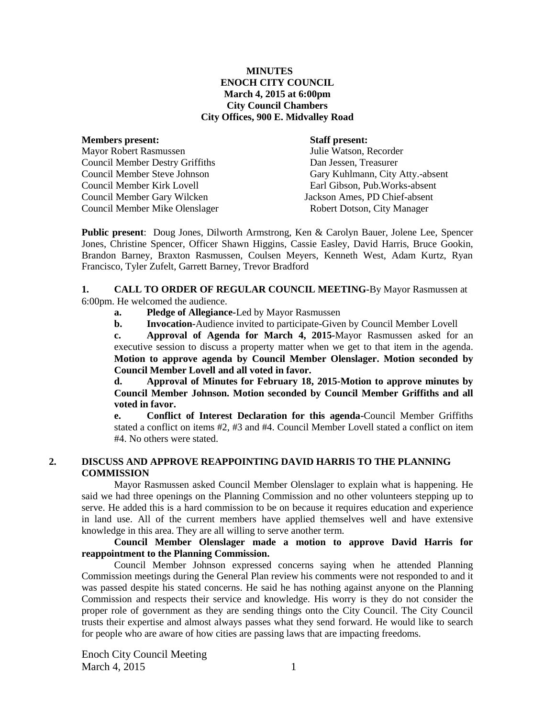### **MINUTES ENOCH CITY COUNCIL March 4, 2015 at 6:00pm City Council Chambers City Offices, 900 E. Midvalley Road**

#### **Members present: Staff present:**

Mayor Robert Rasmussen Julie Watson, Recorder Council Member Destry Griffiths Dan Jessen, Treasurer Council Member Kirk Lovell Earl Gibson, Pub.Works-absent Council Member Gary Wilcken Jackson Ames, PD Chief-absent Council Member Mike Olenslager Robert Dotson, City Manager

Council Member Steve Johnson Gary Kuhlmann, City Atty.-absent

**Public present**: Doug Jones, Dilworth Armstrong, Ken & Carolyn Bauer, Jolene Lee, Spencer Jones, Christine Spencer, Officer Shawn Higgins, Cassie Easley, David Harris, Bruce Gookin, Brandon Barney, Braxton Rasmussen, Coulsen Meyers, Kenneth West, Adam Kurtz, Ryan Francisco, Tyler Zufelt, Garrett Barney, Trevor Bradford

#### **1. CALL TO ORDER OF REGULAR COUNCIL MEETING-**By Mayor Rasmussen at 6:00pm. He welcomed the audience.

- **a. Pledge of Allegiance-**Led by Mayor Rasmussen
- **b. Invocation-**Audience invited to participate-Given by Council Member Lovell

**c. Approval of Agenda for March 4, 2015-**Mayor Rasmussen asked for an executive session to discuss a property matter when we get to that item in the agenda. **Motion to approve agenda by Council Member Olenslager. Motion seconded by Council Member Lovell and all voted in favor.**

**d. Approval of Minutes for February 18, 2015-Motion to approve minutes by Council Member Johnson. Motion seconded by Council Member Griffiths and all voted in favor.**

**e. Conflict of Interest Declaration for this agenda-**Council Member Griffiths stated a conflict on items #2, #3 and #4. Council Member Lovell stated a conflict on item #4. No others were stated.

## **2. DISCUSS AND APPROVE REAPPOINTING DAVID HARRIS TO THE PLANNING COMMISSION**

Mayor Rasmussen asked Council Member Olenslager to explain what is happening. He said we had three openings on the Planning Commission and no other volunteers stepping up to serve. He added this is a hard commission to be on because it requires education and experience in land use. All of the current members have applied themselves well and have extensive knowledge in this area. They are all willing to serve another term.

### **Council Member Olenslager made a motion to approve David Harris for reappointment to the Planning Commission.**

Council Member Johnson expressed concerns saying when he attended Planning Commission meetings during the General Plan review his comments were not responded to and it was passed despite his stated concerns. He said he has nothing against anyone on the Planning Commission and respects their service and knowledge. His worry is they do not consider the proper role of government as they are sending things onto the City Council. The City Council trusts their expertise and almost always passes what they send forward. He would like to search for people who are aware of how cities are passing laws that are impacting freedoms.

Enoch City Council Meeting March 4, 2015 1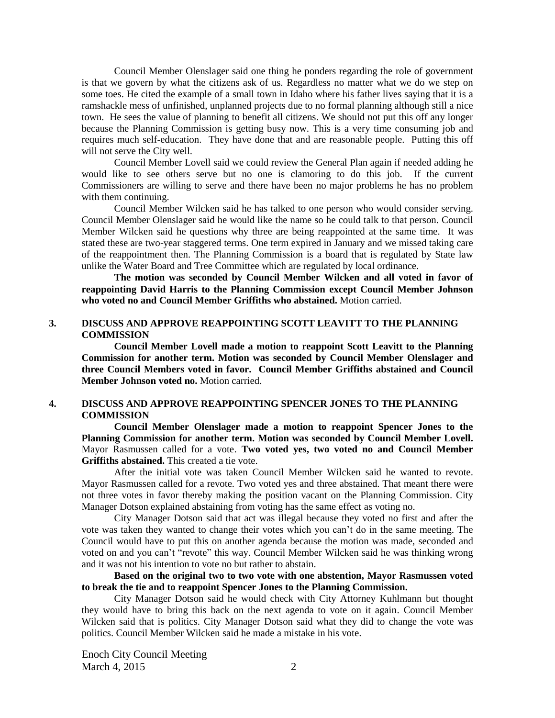Council Member Olenslager said one thing he ponders regarding the role of government is that we govern by what the citizens ask of us. Regardless no matter what we do we step on some toes. He cited the example of a small town in Idaho where his father lives saying that it is a ramshackle mess of unfinished, unplanned projects due to no formal planning although still a nice town. He sees the value of planning to benefit all citizens. We should not put this off any longer because the Planning Commission is getting busy now. This is a very time consuming job and requires much self-education. They have done that and are reasonable people. Putting this off will not serve the City well.

Council Member Lovell said we could review the General Plan again if needed adding he would like to see others serve but no one is clamoring to do this job. If the current Commissioners are willing to serve and there have been no major problems he has no problem with them continuing.

Council Member Wilcken said he has talked to one person who would consider serving. Council Member Olenslager said he would like the name so he could talk to that person. Council Member Wilcken said he questions why three are being reappointed at the same time. It was stated these are two-year staggered terms. One term expired in January and we missed taking care of the reappointment then. The Planning Commission is a board that is regulated by State law unlike the Water Board and Tree Committee which are regulated by local ordinance.

**The motion was seconded by Council Member Wilcken and all voted in favor of reappointing David Harris to the Planning Commission except Council Member Johnson who voted no and Council Member Griffiths who abstained.** Motion carried.

#### **3. DISCUSS AND APPROVE REAPPOINTING SCOTT LEAVITT TO THE PLANNING COMMISSION**

**Council Member Lovell made a motion to reappoint Scott Leavitt to the Planning Commission for another term. Motion was seconded by Council Member Olenslager and three Council Members voted in favor. Council Member Griffiths abstained and Council Member Johnson voted no.** Motion carried.

## **4. DISCUSS AND APPROVE REAPPOINTING SPENCER JONES TO THE PLANNING COMMISSION**

**Council Member Olenslager made a motion to reappoint Spencer Jones to the Planning Commission for another term. Motion was seconded by Council Member Lovell.**  Mayor Rasmussen called for a vote. **Two voted yes, two voted no and Council Member Griffiths abstained.** This created a tie vote.

After the initial vote was taken Council Member Wilcken said he wanted to revote. Mayor Rasmussen called for a revote. Two voted yes and three abstained. That meant there were not three votes in favor thereby making the position vacant on the Planning Commission. City Manager Dotson explained abstaining from voting has the same effect as voting no.

City Manager Dotson said that act was illegal because they voted no first and after the vote was taken they wanted to change their votes which you can't do in the same meeting. The Council would have to put this on another agenda because the motion was made, seconded and voted on and you can't "revote" this way. Council Member Wilcken said he was thinking wrong and it was not his intention to vote no but rather to abstain.

**Based on the original two to two vote with one abstention, Mayor Rasmussen voted to break the tie and to reappoint Spencer Jones to the Planning Commission.** 

City Manager Dotson said he would check with City Attorney Kuhlmann but thought they would have to bring this back on the next agenda to vote on it again. Council Member Wilcken said that is politics. City Manager Dotson said what they did to change the vote was politics. Council Member Wilcken said he made a mistake in his vote.

Enoch City Council Meeting March 4, 2015 2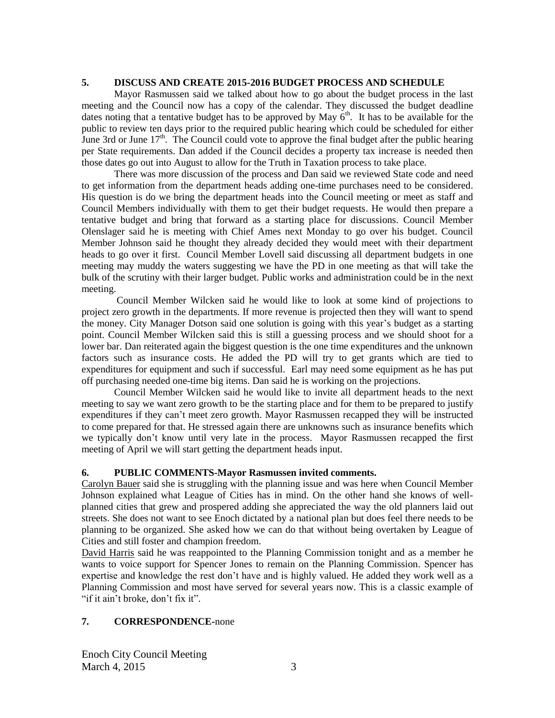## **5. DISCUSS AND CREATE 2015-2016 BUDGET PROCESS AND SCHEDULE**

Mayor Rasmussen said we talked about how to go about the budget process in the last meeting and the Council now has a copy of the calendar. They discussed the budget deadline dates noting that a tentative budget has to be approved by May  $6<sup>th</sup>$ . It has to be available for the public to review ten days prior to the required public hearing which could be scheduled for either June 3rd or June  $17<sup>th</sup>$ . The Council could vote to approve the final budget after the public hearing per State requirements. Dan added if the Council decides a property tax increase is needed then those dates go out into August to allow for the Truth in Taxation process to take place.

There was more discussion of the process and Dan said we reviewed State code and need to get information from the department heads adding one-time purchases need to be considered. His question is do we bring the department heads into the Council meeting or meet as staff and Council Members individually with them to get their budget requests. He would then prepare a tentative budget and bring that forward as a starting place for discussions. Council Member Olenslager said he is meeting with Chief Ames next Monday to go over his budget. Council Member Johnson said he thought they already decided they would meet with their department heads to go over it first. Council Member Lovell said discussing all department budgets in one meeting may muddy the waters suggesting we have the PD in one meeting as that will take the bulk of the scrutiny with their larger budget. Public works and administration could be in the next meeting.

Council Member Wilcken said he would like to look at some kind of projections to project zero growth in the departments. If more revenue is projected then they will want to spend the money. City Manager Dotson said one solution is going with this year's budget as a starting point. Council Member Wilcken said this is still a guessing process and we should shoot for a lower bar. Dan reiterated again the biggest question is the one time expenditures and the unknown factors such as insurance costs. He added the PD will try to get grants which are tied to expenditures for equipment and such if successful. Earl may need some equipment as he has put off purchasing needed one-time big items. Dan said he is working on the projections.

Council Member Wilcken said he would like to invite all department heads to the next meeting to say we want zero growth to be the starting place and for them to be prepared to justify expenditures if they can't meet zero growth. Mayor Rasmussen recapped they will be instructed to come prepared for that. He stressed again there are unknowns such as insurance benefits which we typically don't know until very late in the process. Mayor Rasmussen recapped the first meeting of April we will start getting the department heads input.

## **6. PUBLIC COMMENTS-Mayor Rasmussen invited comments.**

Carolyn Bauer said she is struggling with the planning issue and was here when Council Member Johnson explained what League of Cities has in mind. On the other hand she knows of wellplanned cities that grew and prospered adding she appreciated the way the old planners laid out streets. She does not want to see Enoch dictated by a national plan but does feel there needs to be planning to be organized. She asked how we can do that without being overtaken by League of Cities and still foster and champion freedom.

David Harris said he was reappointed to the Planning Commission tonight and as a member he wants to voice support for Spencer Jones to remain on the Planning Commission. Spencer has expertise and knowledge the rest don't have and is highly valued. He added they work well as a Planning Commission and most have served for several years now. This is a classic example of "if it ain't broke, don't fix it".

# **7. CORRESPONDENCE-**none

Enoch City Council Meeting March 4, 2015 3